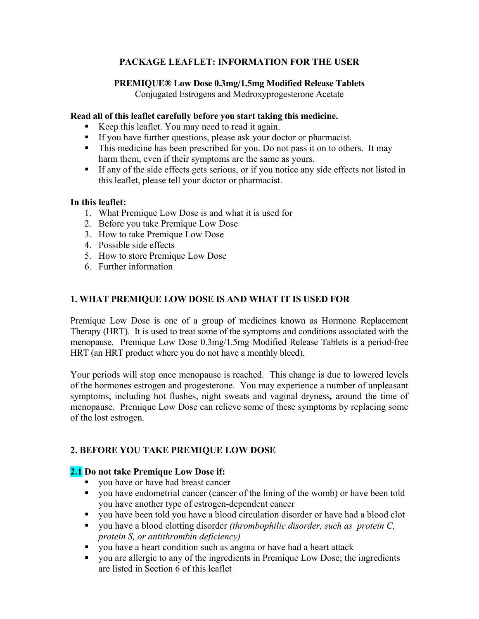# **PACKAGE LEAFLET: INFORMATION FOR THE USER**

## **PREMIQUE® Low Dose 0.3mg/1.5mg Modified Release Tablets**  Conjugated Estrogens and Medroxyprogesterone Acetate

## **Read all of this leaflet carefully before you start taking this medicine.**

- Keep this leaflet. You may need to read it again.
- If you have further questions, please ask your doctor or pharmacist.
- This medicine has been prescribed for you. Do not pass it on to others. It may harm them, even if their symptoms are the same as yours.
- If any of the side effects gets serious, or if you notice any side effects not listed in this leaflet, please tell your doctor or pharmacist.

## **In this leaflet:**

- 1. What Premique Low Dose is and what it is used for
- 2. Before you take Premique Low Dose
- 3. How to take Premique Low Dose
- 4. Possible side effects
- 5. How to store Premique Low Dose
- 6. Further information

# **1. WHAT PREMIQUE LOW DOSE IS AND WHAT IT IS USED FOR**

Premique Low Dose is one of a group of medicines known as Hormone Replacement Therapy (HRT). It is used to treat some of the symptoms and conditions associated with the menopause. Premique Low Dose 0.3mg/1.5mg Modified Release Tablets is a period-free HRT (an HRT product where you do not have a monthly bleed).

Your periods will stop once menopause is reached. This change is due to lowered levels of the hormones estrogen and progesterone. You may experience a number of unpleasant symptoms, including hot flushes, night sweats and vaginal dryness*,* around the time of menopause. Premique Low Dose can relieve some of these symptoms by replacing some of the lost estrogen.

# **2. BEFORE YOU TAKE PREMIQUE LOW DOSE**

# **2.1 Do not take Premique Low Dose if:**

- you have or have had breast cancer
- you have endometrial cancer (cancer of the lining of the womb) or have been told you have another type of estrogen-dependent cancer
- you have been told you have a blood circulation disorder or have had a blood clot
- you have a blood clotting disorder *(thrombophilic disorder, such as protein C, protein S, or antithrombin deficiency)*
- vou have a heart condition such as angina or have had a heart attack
- you are allergic to any of the ingredients in Premique Low Dose; the ingredients are listed in Section 6 of this leaflet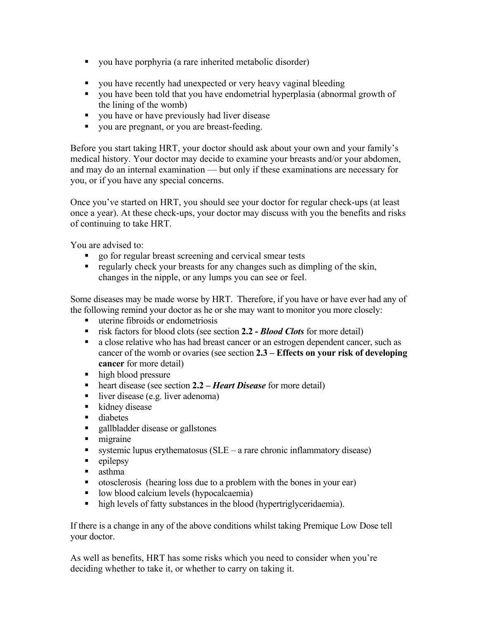- you have porphyria (a rare inherited metabolic disorder)
- you have recently had unexpected or very heavy vaginal bleeding
- you have been told that you have endometrial hyperplasia (abnormal growth of the lining of the womb)
- vou have or have previously had liver disease
- vou are pregnant, or you are breast-feeding.

Before you start taking HRT, your doctor should ask about your own and your family's medical history. Your doctor may decide to examine your breasts and/or your abdomen, and may do an internal examination — but only if these examinations are necessary for you, or if you have any special concerns.

Once you've started on HRT, you should see your doctor for regular check-ups (at least once a year). At these check-ups, your doctor may discuss with you the benefits and risks of continuing to take HRT.

You are advised to:

- go for regular breast screening and cervical smear tests
- regularly check your breasts for any changes such as dimpling of the skin, changes in the nipple, or any lumps you can see or feel.

Some diseases may be made worse by HRT. Therefore, if you have or have ever had any of the following remind your doctor as he or she may want to monitor you more closely:

- uterine fibroids or endometriosis
- risk factors for blood clots (see section **2.2 -** *Blood Clots* for more detail)
- a close relative who has had breast cancer or an estrogen dependent cancer, such as cancer of the womb or ovaries (see section **2.3 – Effects on your risk of developing cancer** for more detail)
- high blood pressure
- heart disease (see section 2.2 *Heart Disease* for more detail)
- liver disease (e.g. liver adenoma)
- $\blacksquare$  kidney disease
- **diabetes**
- **gallbladder disease or gallstones**
- migraine
- systemic lupus erythematosus  $(SLE a$  rare chronic inflammatory disease)
- $\blacksquare$  epilepsy
- asthma
- otosclerosis (hearing loss due to a problem with the bones in your ear)
- **IDOM** blood calcium levels (hypocalcaemia)
- high levels of fatty substances in the blood (hypertriglyceridaemia).

If there is a change in any of the above conditions whilst taking Premique Low Dose tell your doctor.

As well as benefits, HRT has some risks which you need to consider when you're deciding whether to take it, or whether to carry on taking it.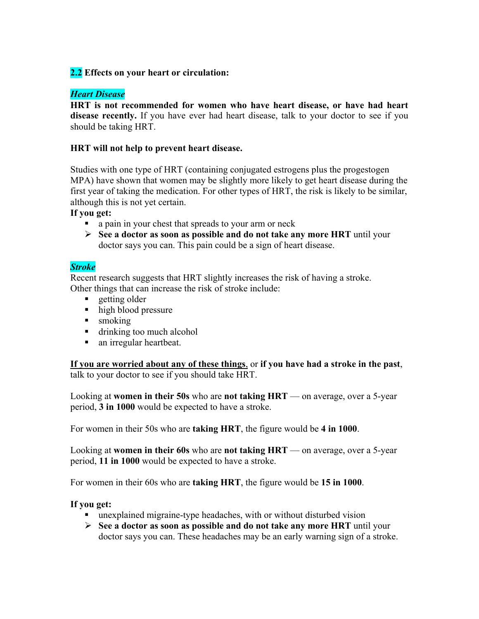# **2.2 Effects on your heart or circulation:**

## *Heart Disease*

**HRT is not recommended for women who have heart disease, or have had heart disease recently.** If you have ever had heart disease, talk to your doctor to see if you should be taking HRT.

## **HRT will not help to prevent heart disease.**

Studies with one type of HRT (containing conjugated estrogens plus the progestogen MPA) have shown that women may be slightly more likely to get heart disease during the first year of taking the medication. For other types of HRT, the risk is likely to be similar, although this is not yet certain.

### **If you get:**

- a pain in your chest that spreads to your arm or neck
- **See a doctor as soon as possible and do not take any more HRT** until your doctor says you can. This pain could be a sign of heart disease.

## *Stroke*

Recent research suggests that HRT slightly increases the risk of having a stroke. Other things that can increase the risk of stroke include:

- **getting older**
- $\blacksquare$  high blood pressure
- smoking
- drinking too much alcohol
- an irregular heartbeat.

**If you are worried about any of these things**, or **if you have had a stroke in the past**, talk to your doctor to see if you should take HRT.

Looking at **women in their 50s** who are **not taking HRT** — on average, over a 5-year period, **3 in 1000** would be expected to have a stroke.

For women in their 50s who are **taking HRT**, the figure would be **4 in 1000**.

Looking at **women in their 60s** who are **not taking HRT** — on average, over a 5-year period, **11 in 1000** would be expected to have a stroke.

For women in their 60s who are **taking HRT**, the figure would be **15 in 1000**.

# **If you get:**

- unexplained migraine-type headaches, with or without disturbed vision
- **See a doctor as soon as possible and do not take any more HRT** until your doctor says you can. These headaches may be an early warning sign of a stroke.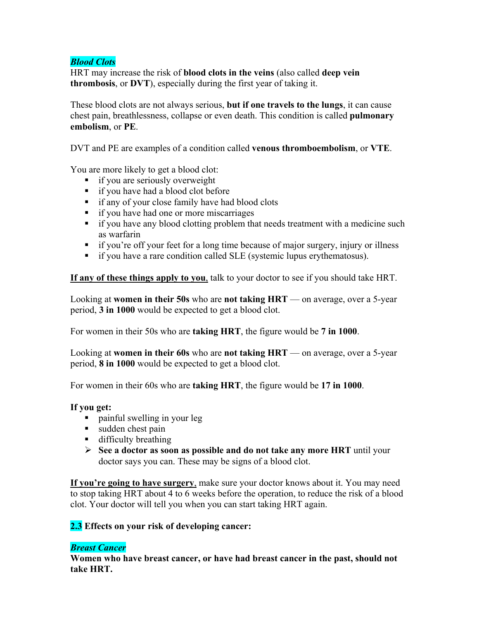# *Blood Clots*

HRT may increase the risk of **blood clots in the veins** (also called **deep vein thrombosis**, or **DVT**), especially during the first year of taking it.

These blood clots are not always serious, **but if one travels to the lungs**, it can cause chest pain, breathlessness, collapse or even death. This condition is called **pulmonary embolism**, or **PE**.

DVT and PE are examples of a condition called **venous thromboembolism**, or **VTE**.

You are more likely to get a blood clot:

- **i** if you are seriously overweight
- **if you have had a blood clot before**
- **i** if any of your close family have had blood clots
- **i** if you have had one or more miscarriages
- if you have any blood clotting problem that needs treatment with a medicine such as warfarin
- if you're off your feet for a long time because of major surgery, injury or illness
- if you have a rare condition called SLE (systemic lupus erythematosus).

**If any of these things apply to you**, talk to your doctor to see if you should take HRT.

Looking at **women in their 50s** who are **not taking HRT** — on average, over a 5-year period, **3 in 1000** would be expected to get a blood clot.

For women in their 50s who are **taking HRT**, the figure would be **7 in 1000**.

Looking at **women in their 60s** who are **not taking HRT** — on average, over a 5-year period, **8 in 1000** would be expected to get a blood clot.

For women in their 60s who are **taking HRT**, the figure would be **17 in 1000**.

# **If you get:**

- painful swelling in your leg
- sudden chest pain
- **difficulty breathing**
- **See a doctor as soon as possible and do not take any more HRT** until your doctor says you can. These may be signs of a blood clot.

**If you're going to have surgery**, make sure your doctor knows about it. You may need to stop taking HRT about 4 to 6 weeks before the operation, to reduce the risk of a blood clot. Your doctor will tell you when you can start taking HRT again.

# **2.3 Effects on your risk of developing cancer:**

# *Breast Cancer*

**Women who have breast cancer, or have had breast cancer in the past, should not take HRT.**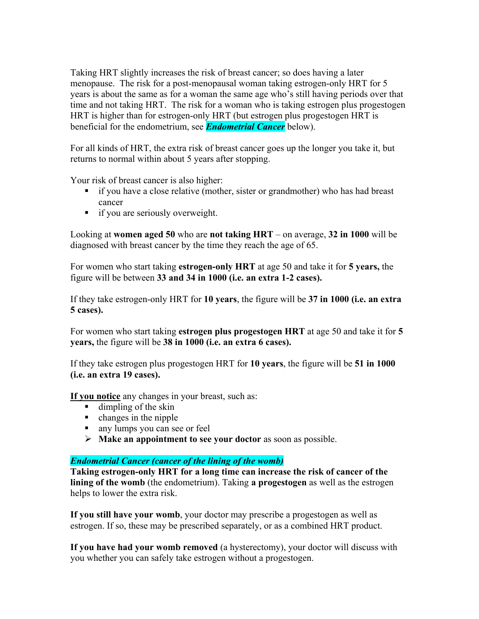Taking HRT slightly increases the risk of breast cancer; so does having a later menopause. The risk for a post-menopausal woman taking estrogen-only HRT for 5 years is about the same as for a woman the same age who's still having periods over that time and not taking HRT. The risk for a woman who is taking estrogen plus progestogen HRT is higher than for estrogen-only HRT (but estrogen plus progestogen HRT is beneficial for the endometrium, see *Endometrial Cancer* below).

For all kinds of HRT, the extra risk of breast cancer goes up the longer you take it, but returns to normal within about 5 years after stopping.

Your risk of breast cancer is also higher:

- if you have a close relative (mother, sister or grandmother) who has had breast cancer
- **i** if you are seriously overweight.

Looking at **women aged 50** who are **not taking HRT** – on average, **32 in 1000** will be diagnosed with breast cancer by the time they reach the age of 65.

For women who start taking **estrogen-only HRT** at age 50 and take it for **5 years,** the figure will be between **33 and 34 in 1000 (i.e. an extra 1-2 cases).** 

If they take estrogen-only HRT for **10 years**, the figure will be **37 in 1000 (i.e. an extra 5 cases).** 

For women who start taking **estrogen plus progestogen HRT** at age 50 and take it for **5 years,** the figure will be **38 in 1000 (i.e. an extra 6 cases).** 

If they take estrogen plus progestogen HRT for **10 years**, the figure will be **51 in 1000 (i.e. an extra 19 cases).** 

**If you notice** any changes in your breast, such as:

- $\blacksquare$  dimpling of the skin
- $\blacksquare$  changes in the nipple
- any lumps you can see or feel
- **Make an appointment to see your doctor** as soon as possible.

### *Endometrial Cancer (cancer of the lining of the womb)*

**Taking estrogen-only HRT for a long time can increase the risk of cancer of the lining of the womb** (the endometrium). Taking **a progestogen** as well as the estrogen helps to lower the extra risk.

**If you still have your womb**, your doctor may prescribe a progestogen as well as estrogen. If so, these may be prescribed separately, or as a combined HRT product.

**If you have had your womb removed** (a hysterectomy), your doctor will discuss with you whether you can safely take estrogen without a progestogen.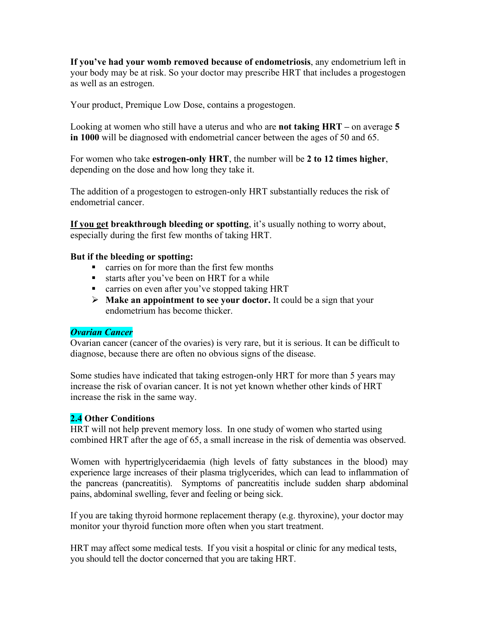**If you've had your womb removed because of endometriosis**, any endometrium left in your body may be at risk. So your doctor may prescribe HRT that includes a progestogen as well as an estrogen.

Your product, Premique Low Dose, contains a progestogen.

Looking at women who still have a uterus and who are **not taking HRT –** on average **5 in 1000** will be diagnosed with endometrial cancer between the ages of 50 and 65.

For women who take **estrogen-only HRT**, the number will be **2 to 12 times higher**, depending on the dose and how long they take it.

The addition of a progestogen to estrogen-only HRT substantially reduces the risk of endometrial cancer.

**If you get breakthrough bleeding or spotting**, it's usually nothing to worry about, especially during the first few months of taking HRT.

### **But if the bleeding or spotting:**

- carries on for more than the first few months
- starts after you've been on HRT for a while
- **Exercise on even after you've stopped taking HRT**
- **Make an appointment to see your doctor.** It could be a sign that your endometrium has become thicker.

### *Ovarian Cancer*

Ovarian cancer (cancer of the ovaries) is very rare, but it is serious. It can be difficult to diagnose, because there are often no obvious signs of the disease.

Some studies have indicated that taking estrogen-only HRT for more than 5 years may increase the risk of ovarian cancer. It is not yet known whether other kinds of HRT increase the risk in the same way.

# **2.4 Other Conditions**

HRT will not help prevent memory loss. In one study of women who started using combined HRT after the age of 65, a small increase in the risk of dementia was observed.

Women with hypertriglyceridaemia (high levels of fatty substances in the blood) may experience large increases of their plasma triglycerides, which can lead to inflammation of the pancreas (pancreatitis). Symptoms of pancreatitis include sudden sharp abdominal pains, abdominal swelling, fever and feeling or being sick.

If you are taking thyroid hormone replacement therapy (e.g. thyroxine), your doctor may monitor your thyroid function more often when you start treatment.

HRT may affect some medical tests. If you visit a hospital or clinic for any medical tests, you should tell the doctor concerned that you are taking HRT.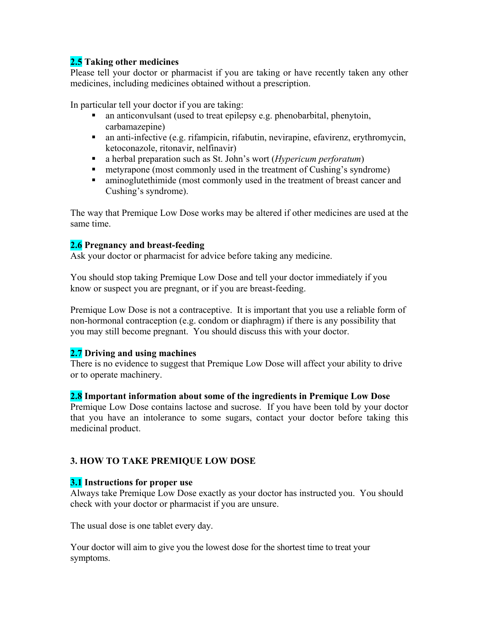# **2.5 Taking other medicines**

Please tell your doctor or pharmacist if you are taking or have recently taken any other medicines, including medicines obtained without a prescription.

In particular tell your doctor if you are taking:

- an anticonvulsant (used to treat epilepsy e.g. phenobarbital, phenytoin, carbamazepine)
- an anti-infective (e.g. rifampicin, rifabutin, nevirapine, efavirenz, erythromycin, ketoconazole, ritonavir, nelfinavir)
- a herbal preparation such as St. John's wort (*Hypericum perforatum*)
- **Example 1** metyrapone (most commonly used in the treatment of Cushing's syndrome)
- aminoglutethimide (most commonly used in the treatment of breast cancer and Cushing's syndrome).

The way that Premique Low Dose works may be altered if other medicines are used at the same time.

# **2.6 Pregnancy and breast-feeding**

Ask your doctor or pharmacist for advice before taking any medicine.

You should stop taking Premique Low Dose and tell your doctor immediately if you know or suspect you are pregnant, or if you are breast-feeding.

Premique Low Dose is not a contraceptive. It is important that you use a reliable form of non-hormonal contraception (e.g. condom or diaphragm) if there is any possibility that you may still become pregnant. You should discuss this with your doctor.

# **2.7 Driving and using machines**

There is no evidence to suggest that Premique Low Dose will affect your ability to drive or to operate machinery.

# **2.8 Important information about some of the ingredients in Premique Low Dose**

Premique Low Dose contains lactose and sucrose. If you have been told by your doctor that you have an intolerance to some sugars, contact your doctor before taking this medicinal product.

# **3. HOW TO TAKE PREMIQUE LOW DOSE**

# **3.1 Instructions for proper use**

Always take Premique Low Dose exactly as your doctor has instructed you. You should check with your doctor or pharmacist if you are unsure.

The usual dose is one tablet every day.

Your doctor will aim to give you the lowest dose for the shortest time to treat your symptoms.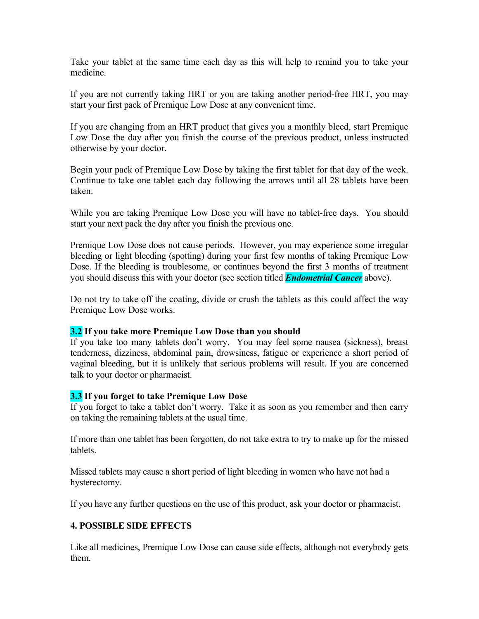Take your tablet at the same time each day as this will help to remind you to take your medicine.

If you are not currently taking HRT or you are taking another period-free HRT, you may start your first pack of Premique Low Dose at any convenient time.

If you are changing from an HRT product that gives you a monthly bleed, start Premique Low Dose the day after you finish the course of the previous product, unless instructed otherwise by your doctor.

Begin your pack of Premique Low Dose by taking the first tablet for that day of the week. Continue to take one tablet each day following the arrows until all 28 tablets have been taken.

While you are taking Premique Low Dose you will have no tablet-free days. You should start your next pack the day after you finish the previous one.

Premique Low Dose does not cause periods. However, you may experience some irregular bleeding or light bleeding (spotting) during your first few months of taking Premique Low Dose. If the bleeding is troublesome, or continues beyond the first 3 months of treatment you should discuss this with your doctor (see section titled *Endometrial Cancer* above).

Do not try to take off the coating, divide or crush the tablets as this could affect the way Premique Low Dose works.

### **3.2 If you take more Premique Low Dose than you should**

If you take too many tablets don't worry. You may feel some nausea (sickness), breast tenderness, dizziness, abdominal pain, drowsiness, fatigue or experience a short period of vaginal bleeding, but it is unlikely that serious problems will result. If you are concerned talk to your doctor or pharmacist.

### **3.3 If you forget to take Premique Low Dose**

If you forget to take a tablet don't worry. Take it as soon as you remember and then carry on taking the remaining tablets at the usual time.

If more than one tablet has been forgotten, do not take extra to try to make up for the missed tablets.

Missed tablets may cause a short period of light bleeding in women who have not had a hysterectomy.

If you have any further questions on the use of this product, ask your doctor or pharmacist.

### **4. POSSIBLE SIDE EFFECTS**

Like all medicines, Premique Low Dose can cause side effects, although not everybody gets them.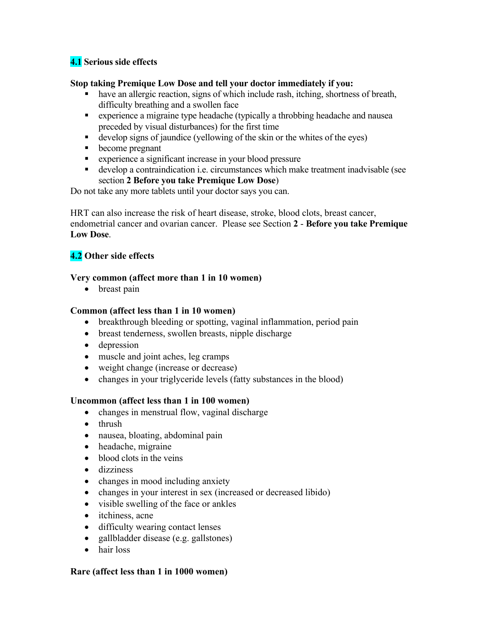# **4.1 Serious side effects**

## **Stop taking Premique Low Dose and tell your doctor immediately if you:**

- have an allergic reaction, signs of which include rash, itching, shortness of breath, difficulty breathing and a swollen face
- experience a migraine type headache (typically a throbbing headache and nausea preceded by visual disturbances) for the first time
- develop signs of jaundice (yellowing of the skin or the whites of the eyes)
- become pregnant
- experience a significant increase in your blood pressure
- develop a contraindication i.e. circumstances which make treatment inadvisable (see section **2 Before you take Premique Low Dose**)

Do not take any more tablets until your doctor says you can.

HRT can also increase the risk of heart disease, stroke, blood clots, breast cancer, endometrial cancer and ovarian cancer. Please see Section **2** - **Before you take Premique Low Dose**.

## **4.2 Other side effects**

### **Very common (affect more than 1 in 10 women)**

• breast pain

### **Common (affect less than 1 in 10 women)**

- breakthrough bleeding or spotting, vaginal inflammation, period pain
- breast tenderness, swollen breasts, nipple discharge
- depression
- muscle and joint aches, leg cramps
- weight change (increase or decrease)
- changes in your triglyceride levels (fatty substances in the blood)

### **Uncommon (affect less than 1 in 100 women)**

- changes in menstrual flow, vaginal discharge
- thrush
- nausea, bloating, abdominal pain
- headache, migraine
- blood clots in the veins
- dizziness
- changes in mood including anxiety
- changes in your interest in sex (increased or decreased libido)
- visible swelling of the face or ankles
- itchiness, acne
- difficulty wearing contact lenses
- gallbladder disease (e.g. gallstones)
- hair loss

#### **Rare (affect less than 1 in 1000 women)**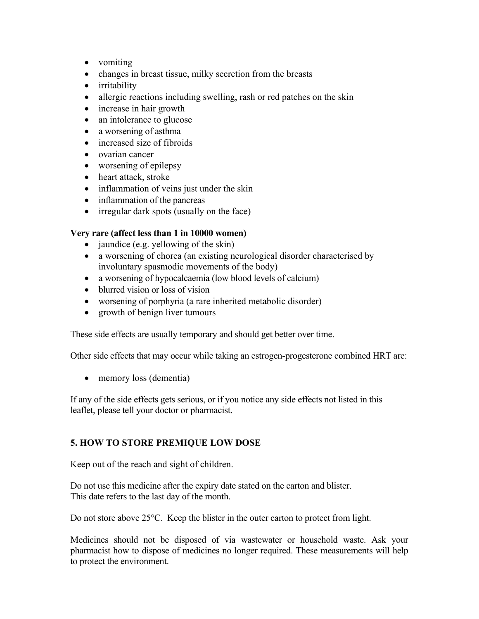- vomiting
- changes in breast tissue, milky secretion from the breasts
- irritability
- allergic reactions including swelling, rash or red patches on the skin
- increase in hair growth
- an intolerance to glucose
- a worsening of asthma
- increased size of fibroids
- ovarian cancer
- worsening of epilepsy
- heart attack, stroke
- inflammation of veins just under the skin
- inflammation of the pancreas
- irregular dark spots (usually on the face)

# **Very rare (affect less than 1 in 10000 women)**

- $\bullet$  jaundice (e.g. yellowing of the skin)
- a worsening of chorea (an existing neurological disorder characterised by involuntary spasmodic movements of the body)
- a worsening of hypocalcaemia (low blood levels of calcium)
- blurred vision or loss of vision
- worsening of porphyria (a rare inherited metabolic disorder)
- growth of benign liver tumours

These side effects are usually temporary and should get better over time.

Other side effects that may occur while taking an estrogen-progesterone combined HRT are:

• memory loss (dementia)

If any of the side effects gets serious, or if you notice any side effects not listed in this leaflet, please tell your doctor or pharmacist.

# **5. HOW TO STORE PREMIQUE LOW DOSE**

Keep out of the reach and sight of children.

Do not use this medicine after the expiry date stated on the carton and blister. This date refers to the last day of the month.

Do not store above 25°C. Keep the blister in the outer carton to protect from light.

Medicines should not be disposed of via wastewater or household waste. Ask your pharmacist how to dispose of medicines no longer required. These measurements will help to protect the environment.